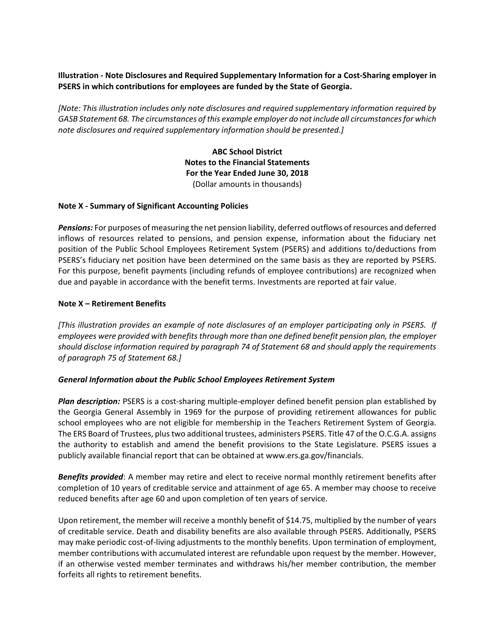# **Illustration - Note Disclosures and Required Supplementary Information for a Cost-Sharing employer in PSERS in which contributions for employees are funded by the State of Georgia.**

*[Note: This illustration includes only note disclosures and required supplementary information required by GASB Statement 68. The circumstances of this example employer do not include all circumstances for which note disclosures and required supplementary information should be presented.]*

> **ABC School District Notes to the Financial Statements For the Year Ended June 30, 2018** (Dollar amounts in thousands)

## **Note X - Summary of Significant Accounting Policies**

*Pensions:* For purposes of measuring the net pension liability, deferred outflows of resources and deferred inflows of resources related to pensions, and pension expense, information about the fiduciary net position of the Public School Employees Retirement System (PSERS) and additions to/deductions from PSERS's fiduciary net position have been determined on the same basis as they are reported by PSERS. For this purpose, benefit payments (including refunds of employee contributions) are recognized when due and payable in accordance with the benefit terms. Investments are reported at fair value.

## **Note X – Retirement Benefits**

*[This illustration provides an example of note disclosures of an employer participating only in PSERS. If employees were provided with benefits through more than one defined benefit pension plan, the employer should disclose information required by paragraph 74 of Statement 68 and should apply the requirements of paragraph 75 of Statement 68.]*

#### *General Information about the Public School Employees Retirement System*

*Plan description:* PSERS is a cost-sharing multiple-employer defined benefit pension plan established by the Georgia General Assembly in 1969 for the purpose of providing retirement allowances for public school employees who are not eligible for membership in the Teachers Retirement System of Georgia. The ERS Board of Trustees, plus two additional trustees, administers PSERS. Title 47 of the O.C.G.A. assigns the authority to establish and amend the benefit provisions to the State Legislature. PSERS issues a publicly available financial report that can be obtained at www.ers.ga.gov/financials.

*Benefits provided*: A member may retire and elect to receive normal monthly retirement benefits after completion of 10 years of creditable service and attainment of age 65. A member may choose to receive reduced benefits after age 60 and upon completion of ten years of service.

Upon retirement, the member will receive a monthly benefit of \$14.75, multiplied by the number of years of creditable service. Death and disability benefits are also available through PSERS. Additionally, PSERS may make periodic cost-of-living adjustments to the monthly benefits. Upon termination of employment, member contributions with accumulated interest are refundable upon request by the member. However, if an otherwise vested member terminates and withdraws his/her member contribution, the member forfeits all rights to retirement benefits.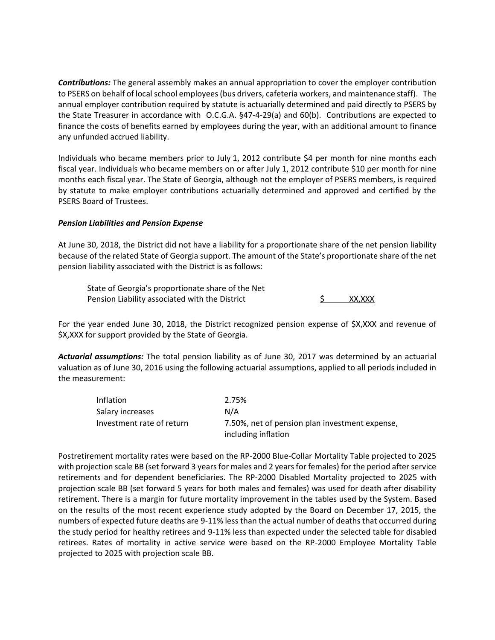*Contributions:* The general assembly makes an annual appropriation to cover the employer contribution to PSERS on behalf of local school employees (bus drivers, cafeteria workers, and maintenance staff). The annual employer contribution required by statute is actuarially determined and paid directly to PSERS by the State Treasurer in accordance with O.C.G.A. §47-4-29(a) and 60(b). Contributions are expected to finance the costs of benefits earned by employees during the year, with an additional amount to finance any unfunded accrued liability.

Individuals who became members prior to July 1, 2012 contribute \$4 per month for nine months each fiscal year. Individuals who became members on or after July 1, 2012 contribute \$10 per month for nine months each fiscal year. The State of Georgia, although not the employer of PSERS members, is required by statute to make employer contributions actuarially determined and approved and certified by the PSERS Board of Trustees.

## *Pension Liabilities and Pension Expense*

At June 30, 2018, the District did not have a liability for a proportionate share of the net pension liability because of the related State of Georgia support. The amount of the State's proportionate share of the net pension liability associated with the District is as follows:

State of Georgia's proportionate share of the Net Pension Liability associated with the District The State State State State State State State State State State

For the year ended June 30, 2018, the District recognized pension expense of \$X,XXX and revenue of \$X,XXX for support provided by the State of Georgia.

*Actuarial assumptions:* The total pension liability as of June 30, 2017 was determined by an actuarial valuation as of June 30, 2016 using the following actuarial assumptions, applied to all periods included in the measurement:

| Inflation                 | 2.75%                                                                 |
|---------------------------|-----------------------------------------------------------------------|
| Salary increases          | N/A                                                                   |
| Investment rate of return | 7.50%, net of pension plan investment expense,<br>including inflation |

Postretirement mortality rates were based on the RP-2000 Blue-Collar Mortality Table projected to 2025 with projection scale BB (set forward 3 years for males and 2 years for females) for the period after service retirements and for dependent beneficiaries. The RP-2000 Disabled Mortality projected to 2025 with projection scale BB (set forward 5 years for both males and females) was used for death after disability retirement. There is a margin for future mortality improvement in the tables used by the System. Based on the results of the most recent experience study adopted by the Board on December 17, 2015, the numbers of expected future deaths are 9-11% less than the actual number of deaths that occurred during the study period for healthy retirees and 9-11% less than expected under the selected table for disabled retirees. Rates of mortality in active service were based on the RP-2000 Employee Mortality Table projected to 2025 with projection scale BB.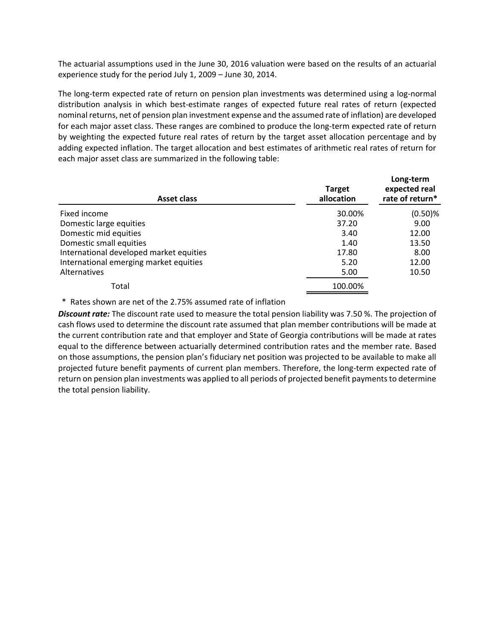The actuarial assumptions used in the June 30, 2016 valuation were based on the results of an actuarial experience study for the period July 1, 2009 – June 30, 2014.

The long-term expected rate of return on pension plan investments was determined using a log-normal distribution analysis in which best-estimate ranges of expected future real rates of return (expected nominal returns, net of pension plan investment expense and the assumed rate of inflation) are developed for each major asset class. These ranges are combined to produce the long-term expected rate of return by weighting the expected future real rates of return by the target asset allocation percentage and by adding expected inflation. The target allocation and best estimates of arithmetic real rates of return for each major asset class are summarized in the following table:

| <b>Asset class</b>                      | <b>Target</b><br>allocation | Long-term<br>expected real<br>rate of return* |
|-----------------------------------------|-----------------------------|-----------------------------------------------|
| Fixed income                            | 30.00%                      | $(0.50)$ %                                    |
| Domestic large equities                 | 37.20                       | 9.00                                          |
| Domestic mid equities                   | 3.40                        | 12.00                                         |
| Domestic small equities                 | 1.40                        | 13.50                                         |
| International developed market equities | 17.80                       | 8.00                                          |
| International emerging market equities  | 5.20                        | 12.00                                         |
| Alternatives                            | 5.00                        | 10.50                                         |
| Total                                   | 100.00%                     |                                               |

\* Rates shown are net of the 2.75% assumed rate of inflation

*Discount rate:* The discount rate used to measure the total pension liability was 7.50 %. The projection of cash flows used to determine the discount rate assumed that plan member contributions will be made at the current contribution rate and that employer and State of Georgia contributions will be made at rates equal to the difference between actuarially determined contribution rates and the member rate. Based on those assumptions, the pension plan's fiduciary net position was projected to be available to make all projected future benefit payments of current plan members. Therefore, the long-term expected rate of return on pension plan investments was applied to all periods of projected benefit payments to determine the total pension liability.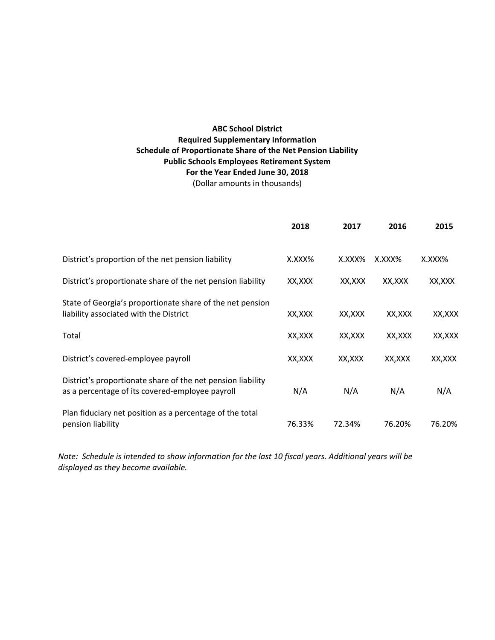# **ABC School District Required Supplementary Information Schedule of Proportionate Share of the Net Pension Liability Public Schools Employees Retirement System For the Year Ended June 30, 2018**

(Dollar amounts in thousands)

|                                                                                                                | 2018   | 2017    | 2016    | 2015    |
|----------------------------------------------------------------------------------------------------------------|--------|---------|---------|---------|
| District's proportion of the net pension liability                                                             | X.XXX% | X.XXX%  | X.XXX%  | X.XXX%  |
| District's proportionate share of the net pension liability                                                    | XX,XXX | XX,XXX  | XX,XXX  | XX,XXX  |
| State of Georgia's proportionate share of the net pension<br>liability associated with the District            | XX,XXX | XX, XXX | XX, XXX | XX, XXX |
| Total                                                                                                          | XX,XXX | XX,XXX  | XX,XXX  | XX, XXX |
| District's covered-employee payroll                                                                            | XX,XXX | XX,XXX  | XX,XXX  | XX, XXX |
| District's proportionate share of the net pension liability<br>as a percentage of its covered-employee payroll | N/A    | N/A     | N/A     | N/A     |
| Plan fiduciary net position as a percentage of the total<br>pension liability                                  | 76.33% | 72.34%  | 76.20%  | 76.20%  |

*Note: Schedule is intended to show information for the last 10 fiscal years. Additional years will be displayed as they become available.*